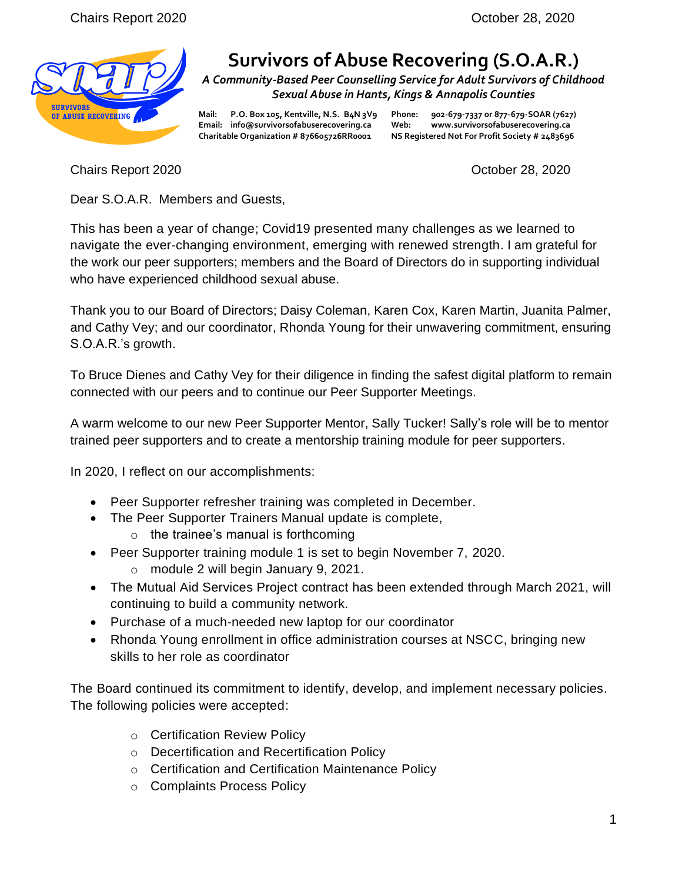

## **Survivors of Abuse Recovering (S.O.A.R.)**

*A Community-Based Peer Counselling Service for Adult Survivors of Childhood Sexual Abuse in Hants, Kings & Annapolis Counties*

**Email: info@survivorsofabuserecovering.ca Web: www.survivorsofabuserecovering.ca Charitable Organization # 876605726RR0001 NS Registered Not For Profit Society # 2483696**

**Mail: P.O. Box 105, Kentville, N.S. B4N 3V9 Phone: 902-679-7337 or 877-679-SOAR (7627)**

Chairs Report 2020 October 28, 2020

Dear S.O.A.R. Members and Guests,

This has been a year of change; Covid19 presented many challenges as we learned to navigate the ever-changing environment, emerging with renewed strength. I am grateful for the work our peer supporters; members and the Board of Directors do in supporting individual who have experienced childhood sexual abuse.

Thank you to our Board of Directors; Daisy Coleman, Karen Cox, Karen Martin, Juanita Palmer, and Cathy Vey; and our coordinator, Rhonda Young for their unwavering commitment, ensuring S.O.A.R.'s growth.

To Bruce Dienes and Cathy Vey for their diligence in finding the safest digital platform to remain connected with our peers and to continue our Peer Supporter Meetings.

A warm welcome to our new Peer Supporter Mentor, Sally Tucker! Sally's role will be to mentor trained peer supporters and to create a mentorship training module for peer supporters.

In 2020, I reflect on our accomplishments:

- Peer Supporter refresher training was completed in December.
- The Peer Supporter Trainers Manual update is complete,
	- $\circ$  the trainee's manual is forthcoming
- Peer Supporter training module 1 is set to begin November 7, 2020.
	- o module 2 will begin January 9, 2021.
- The Mutual Aid Services Project contract has been extended through March 2021, will continuing to build a community network.
- Purchase of a much-needed new laptop for our coordinator
- Rhonda Young enrollment in office administration courses at NSCC, bringing new skills to her role as coordinator

The Board continued its commitment to identify, develop, and implement necessary policies. The following policies were accepted:

- o Certification Review Policy
- o Decertification and Recertification Policy
- o Certification and Certification Maintenance Policy
- o Complaints Process Policy